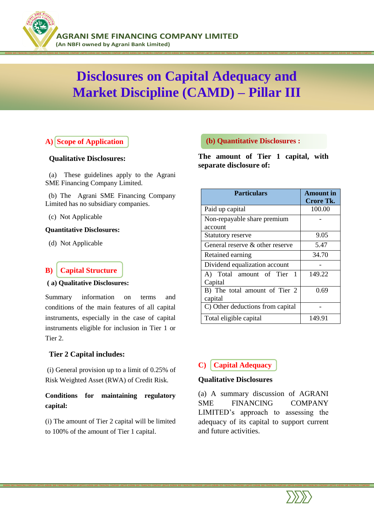

# **Disclosures on Capital Adequacy and Market Discipline (CAMD) – Pillar III**

AGRANI SME FINANCING COMPANY LIMITED AGRANI SME FINANCING COMPANY LIMITED AGRANI SME FINANCING COMPANY LIMITED AGRANI SME FINANCING COMPANY LIMITED AGRANI SME FINANCING COMPANY LIMITED AGRANI SME FINANCING COMPANY LIMITED

# **A) Scope of Application**

### **Qualitative Disclosures:**

 (a) These guidelines apply to the Agrani SME Financing Company Limited.

 (b) The Agrani SME Financing Company Limited has no subsidiary companies.

(c) Not Applicable

#### **Quantitative Disclosures:**

(d) Not Applicable

## **B) Capital Structure**

**( a) Qualitative Disclosures:**

Summary information on terms and conditions of the main features of all capital instruments, especially in the case of capital instruments eligible for inclusion in Tier 1 or Tier 2.

### **Tier 2 Capital includes:**

(i) General provision up to a limit of 0.25% of Risk Weighted Asset (RWA) of Credit Risk.

**Conditions for maintaining regulatory capital:**

(i) The amount of Tier 2 capital will be limited to 100% of the amount of Tier 1 capital.

## **(b) Quantitative Disclosures :**

**The amount of Tier 1 capital, with separate disclosure of:** 

| <b>Particulars</b>                       | <b>Amount</b> in<br>Crore Tk. |
|------------------------------------------|-------------------------------|
| Paid up capital                          | 100.00                        |
| Non-repayable share premium<br>account   |                               |
| Statutory reserve                        | 9.05                          |
| General reserve & other reserve          | 5.47                          |
| Retained earning                         | 34.70                         |
| Dividend equalization account            |                               |
| A) Total amount of Tier 1<br>Capital     | 149.22                        |
| B) The total amount of Tier 2<br>capital | 0.69                          |
| C) Other deductions from capital         |                               |
| Total eligible capital                   | 149.91                        |

# **C) Capital Adequacy**

### **Qualitative Disclosures**

(a) A summary discussion of AGRANI SME FINANCING COMPANY LIMITED's approach to assessing the adequacy of its capital to support current and future activities.

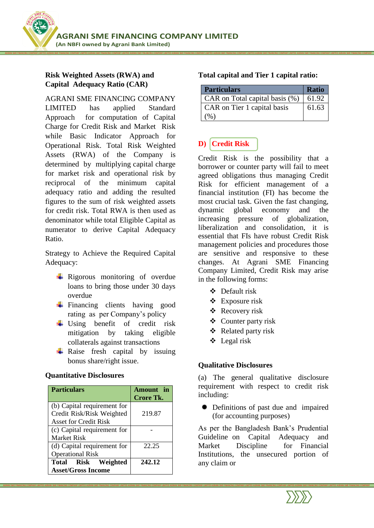

## **Risk Weighted Assets (RWA) and Capital Adequacy Ratio (CAR)**

AGRANI SME FINANCING COMPANY LIMITED has applied Standard Approach for computation of Capital Charge for Credit Risk and Market Risk while Basic Indicator Approach for Operational Risk. Total Risk Weighted Assets (RWA) of the Company is determined by multiplying capital charge for market risk and operational risk by reciprocal of the minimum capital adequacy ratio and adding the resulted figures to the sum of risk weighted assets for credit risk. Total RWA is then used as denominator while total Eligible Capital as numerator to derive Capital Adequacy Ratio.

Strategy to Achieve the Required Capital Adequacy:

- $\overline{\phantom{a}}$  Rigorous monitoring of overdue loans to bring those under 30 days overdue
- $\overline{\phantom{a}}$  Financing clients having good rating as per Company's policy
- Using benefit of credit risk mitigation by taking eligible collaterals against transactions
- $\overline{\phantom{a}}$  Raise fresh capital by issuing bonus share/right issue.

### **Quantitative Disclosures**

| <b>Particulars</b>                                                                       | Amount in<br><b>Crore Tk.</b> |
|------------------------------------------------------------------------------------------|-------------------------------|
| (b) Capital requirement for<br>Credit Risk/Risk Weighted<br><b>Asset for Credit Risk</b> | 219.87                        |
| (c) Capital requirement for<br>Market Risk                                               |                               |
| (d) Capital requirement for<br><b>Operational Risk</b>                                   | 22.25                         |
| <b>Total Risk Weighted</b><br><b>Asset/Gross Income</b>                                  | 242.12                        |

## **Total capital and Tier 1 capital ratio:**

| <b>Particulars</b>             | <b>Ratio</b> |
|--------------------------------|--------------|
| CAR on Total capital basis (%) | 61.92        |
| CAR on Tier 1 capital basis    | 61.63        |
| (% )                           |              |

# **D) Credit Risk**

AGRANI SME FINANCING COMPANY LIMITED AGRANI SME FINANCING COMPANY LIMITED AGRANI SME FINANCING COMPANY LIMITED AGRANI SME FINANCING COMPANY LIMITED AGRANI SME FINANCING COMPANY LIMITED AGRANI SME FINANCING COMPANY LIMITED

Credit Risk is the possibility that a borrower or counter party will fail to meet agreed obligations thus managing Credit Risk for efficient management of a financial institution (FI) has become the most crucial task. Given the fast changing, dynamic global economy and the increasing pressure of globalization, liberalization and consolidation, it is essential that FIs have robust Credit Risk management policies and procedures those are sensitive and responsive to these changes. At Agrani SME Financing Company Limited, Credit Risk may arise in the following forms:

- Default risk
- Exposure risk
- Recovery risk
- Counter party risk
- Related party risk
- Legal risk

## **Qualitative Disclosures**

AGRANI SME FINANCING COMPANY LIMITED AGRANI SME FINANCING COMPANY LIMITED AGRANI SME FINANCING COMPANY LIMITED AGRANI SME FINANCING COMPANY LIMITED AGRANI SME FINANCING COMPANY LIMITED AGRANI SME FINANCING COMPANY LIMITED

(a) The general qualitative disclosure requirement with respect to credit risk including:

 $\bullet$  Definitions of past due and impaired (for accounting purposes)

As per the Bangladesh Bank's Prudential Guideline on Capital Adequacy and Market Discipline for Financial Institutions, the unsecured portion of any claim or

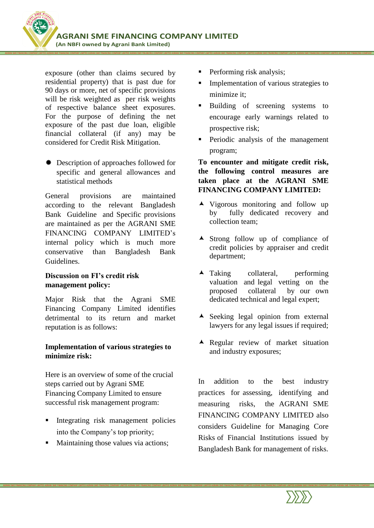

exposure (other than claims secured by residential property) that is past due for 90 days or more, net of specific provisions will be risk weighted as per risk weights of respective balance sheet exposures. For the purpose of defining the net exposure of the past due loan, eligible financial collateral (if any) may be considered for Credit Risk Mitigation.

 Description of approaches followed for specific and general allowances and statistical methods

General provisions are maintained according to the relevant Bangladesh Bank Guideline and Specific provisions are maintained as per the AGRANI SME FINANCING COMPANY LIMITED's internal policy which is much more conservative than Bangladesh Bank Guidelines.

#### **Discussion on FI's credit risk management policy:**

Major Risk that the Agrani SME Financing Company Limited identifies detrimental to its return and market reputation is as follows:

## **Implementation of various strategies to minimize risk:**

Here is an overview of some of the crucial steps carried out by Agrani SME Financing Company Limited to ensure successful risk management program:

- Integrating risk management policies into the Company's top priority;
- Maintaining those values via actions;

Performing risk analysis;

AGRANI SME FINANCING COMPANY LIMITED AGRANI SME FINANCING COMPANY LIMITED AGRANI SME FINANCING COMPANY LIMITED AGRANI SME FINANCING COMPANY LIMITED AGRANI SME FINANCING COMPANY LIMITED AGRANI SME FINANCING COMPANY LIMITED

- Implementation of various strategies to minimize it;
- Building of screening systems to encourage early warnings related to prospective risk;
- Periodic analysis of the management program;

**To encounter and mitigate credit risk, the following control measures are taken place at the AGRANI SME FINANCING COMPANY LIMITED:**

- Vigorous monitoring and follow up by fully dedicated recovery and collection team;
- Strong follow up of compliance of credit policies by appraiser and credit department;
- $\triangle$  Taking collateral, performing valuation and legal vetting on the proposed collateral by our own dedicated technical and legal expert;
- $\triangle$  Seeking legal opinion from external lawyers for any legal issues if required;
- Regular review of market situation and industry exposures;

In addition to the best industry practices for assessing, identifying and measuring risks, the AGRANI SME FINANCING COMPANY LIMITED also considers Guideline for Managing Core Risks of Financial Institutions issued by Bangladesh Bank for management of risks.

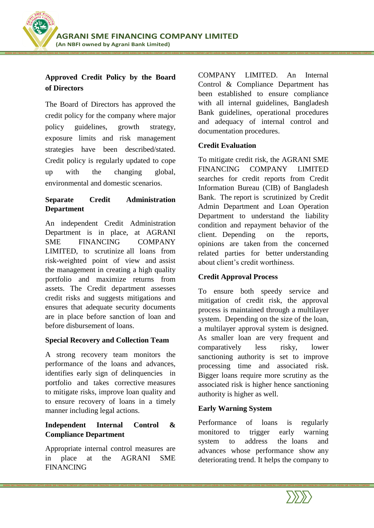# **Approved Credit Policy by the Board of Directors**

The Board of Directors has approved the credit policy for the company where major policy guidelines, growth strategy, exposure limits and risk management strategies have been described/stated. Credit policy is regularly updated to cope up with the changing global, environmental and domestic scenarios.

## **Separate Credit Administration Department**

An independent Credit Administration Department is in place, at AGRANI SME FINANCING COMPANY LIMITED, to scrutinize all loans from risk-weighted point of view and assist the management in creating a high quality portfolio and maximize returns from assets. The Credit department assesses credit risks and suggests mitigations and ensures that adequate security documents are in place before sanction of loan and before disbursement of loans.

## **Special Recovery and Collection Team**

A strong recovery team monitors the performance of the loans and advances, identifies early sign of delinquencies in portfolio and takes corrective measures to mitigate risks, improve loan quality and to ensure recovery of loans in a timely manner including legal actions.

## **Independent Internal Control & Compliance Department**

Appropriate internal control measures are in place at the AGRANI SME FINANCING

COMPANY LIMITED. An Internal Control & Compliance Department has been established to ensure compliance with all internal guidelines, Bangladesh Bank guidelines, operational procedures and adequacy of internal control and documentation procedures.

## **Credit Evaluation**

AGRANI SME FINANCING COMPANY LIMITED AGRANI SME FINANCING COMPANY LIMITED AGRANI SME FINANCING COMPANY LIMITED AGRANI SME FINANCING COMPANY LIMITED AGRANI SME FINANCING COMPANY LIMITED AGRANI SME FINANCING COMPANY LIMITED

To mitigate credit risk, the AGRANI SME FINANCING COMPANY LIMITED searches for credit reports from Credit Information Bureau (CIB) of Bangladesh Bank. The report is scrutinized by Credit Admin Department and Loan Operation Department to understand the liability condition and repayment behavior of the client. Depending on the reports, opinions are taken from the concerned related parties for better understanding about client's credit worthiness.

# **Credit Approval Process**

To ensure both speedy service and mitigation of credit risk, the approval process is maintained through a multilayer system. Depending on the size of the loan, a multilayer approval system is designed. As smaller loan are very frequent and comparatively less risky, lower sanctioning authority is set to improve processing time and associated risk. Bigger loans require more scrutiny as the associated risk is higher hence sanctioning authority is higher as well.

# **Early Warning System**

AGRANI SME FINANCING COMPANY LIMITED AGRANI SME FINANCING COMPANY LIMITED AGRANI SME FINANCING COMPANY LIMITED AGRANI SME FINANCING COMPANY LIMITED AGRANI SME FINANCING COMPANY LIMITED AGRANI SME FINANCING COMPANY LIMITED

Performance of loans is regularly monitored to trigger early warning system to address the loans and advances whose performance show any deteriorating trend. It helps the company to

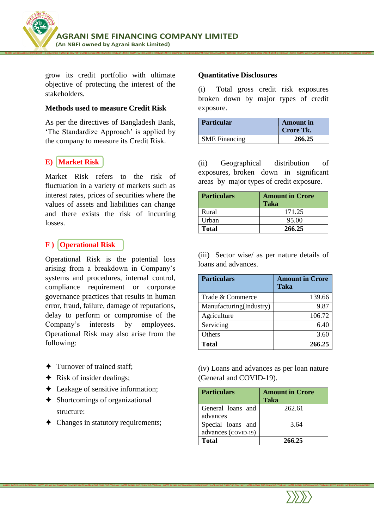

grow its credit portfolio with ultimate objective of protecting the interest of the stakeholders.

#### **Methods used to measure Credit Risk**

As per the directives of Bangladesh Bank, 'The Standardize Approach' is applied by the company to measure its Credit Risk.

## **E) Market Risk**

Market Risk refers to the risk of fluctuation in a variety of markets such as interest rates, prices of securities where the values of assets and liabilities can change and there exists the risk of incurring losses.

# **F ) Operational Risk**

Operational Risk is the potential loss arising from a breakdown in Company's systems and procedures, internal control, compliance requirement or corporate governance practices that results in human error, fraud, failure, damage of reputations, delay to perform or compromise of the Company's interests by employees. Operational Risk may also arise from the following:

- $\triangleleft$  Turnover of trained staff;
- $\triangleleft$  Risk of insider dealings;
- ◆ Leakage of sensitive information;
- $\triangleleft$  Shortcomings of organizational structure:
- Changes in statutory requirements;

#### **Quantitative Disclosures**

AGRANI SME FINANCING COMPANY LIMITED AGRANI SME FINANCING COMPANY LIMITED AGRANI SME FINANCING COMPANY LIMITED AGRANI SME FINANCING COMPANY LIMITED AGRANI SME FINANCING COMPANY LIMITED AGRANI SME FINANCING COMPANY LIMITED

AGRANI SME FINANCING COMPANY LIMITED AGRANI SME FINANCING COMPANY LIMITED AGRANI SME FINANCING COMPANY LIMITED AGRANI SME FINANCING COMPANY LIMITED AGRANI SME FINANCING COMPANY LIMITED AGRANI SME FINANCING COMPANY LIMITED

(i) Total gross credit risk exposures broken down by major types of credit exposure.

| <b>Particular</b>    | <b>Amount</b> in<br><b>Crore Tk.</b> |
|----------------------|--------------------------------------|
| <b>SME</b> Financing | 266.25                               |

(ii) Geographical distribution of exposures, broken down in significant areas by major types of credit exposure.

| <b>Particulars</b> | <b>Amount in Crore</b><br>Taka |
|--------------------|--------------------------------|
| Rural              | 171.25                         |
| Urban              | 95.00                          |
| <b>Total</b>       | 266.25                         |

(iii) Sector wise/ as per nature details of loans and advances.

| <b>Particulars</b>      | <b>Amount in Crore</b><br>Taka |
|-------------------------|--------------------------------|
| Trade & Commerce        | 139.66                         |
| Manufacturing(Industry) | 9.87                           |
| Agriculture             | 106.72                         |
| Servicing               | 6.40                           |
| Others                  | 3.60                           |
| <b>Total</b>            | 266.25                         |

(iv) Loans and advances as per loan nature (General and COVID-19).

| <b>Particulars</b>  | <b>Amount in Crore</b><br>Taka |
|---------------------|--------------------------------|
| General loans and   | 262.61                         |
| advances            |                                |
| Special loans and   | 364                            |
| advances (COVID-19) |                                |
| Total               | 266.25                         |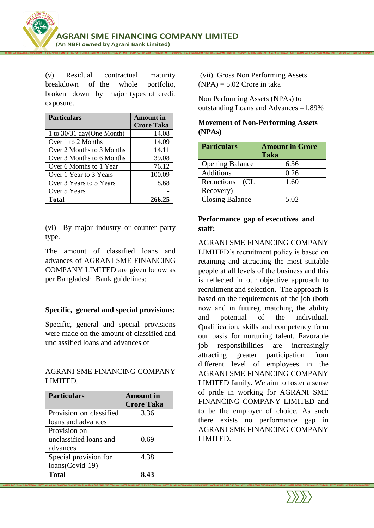

AGRANI SME FINANCING COMPANY LIMITED AGRANI SME FINANCING COMPANY LIMITED AGRANI SME FINANCING COMPANY LIMITED AGRANI SME FINANCING COMPANY LIMITED AGRANI SME FINANCING COMPANY LIMITED AGRANI SME FINANCING COMPANY LIMITED

(v) Residual contractual maturity breakdown of the whole portfolio, broken down by major types of credit exposure.

| <b>Particulars</b>          | <b>Amount</b> in  |
|-----------------------------|-------------------|
|                             | <b>Crore Taka</b> |
| 1 to $30/31$ day(One Month) | 14.08             |
| Over 1 to 2 Months          | 14.09             |
| Over 2 Months to 3 Months   | 14.11             |
| Over 3 Months to 6 Months   | 39.08             |
| Over 6 Months to 1 Year     | 76.12             |
| Over 1 Year to 3 Years      | 100.09            |
| Over 3 Years to 5 Years     | 8.68              |
| Over 5 Years                |                   |
| <b>Total</b>                | 266.25            |

(vi) By major industry or counter party type.

The amount of classified loans and advances of AGRANI SME FINANCING COMPANY LIMITED are given below as per Bangladesh Bank guidelines:

### **Specific, general and special provisions:**

Specific, general and special provisions were made on the amount of classified and unclassified loans and advances of

#### AGRANI SME FINANCING COMPANY LIMITED.

| <b>Particulars</b>      | Amount in         |
|-------------------------|-------------------|
|                         | <b>Crore Taka</b> |
| Provision on classified | 3.36              |
| loans and advances      |                   |
| Provision on            |                   |
| unclassified loans and  | 0.69              |
| advances                |                   |
| Special provision for   | 4.38              |
| loans(Covid-19)         |                   |
| Total                   | 8.43              |

AGRANI SME FINANCING COMPANY LIMITED AGRANI SME FINANCING COMPANY LIMITED AGRANI SME FINANCING COMPANY LIMITED AGRANI SME FINANCING COMPANY LIMITED AGRANI SME FINANCING COMPANY LIMITED AGRANI SME FINANCING COMPANY LIMITED

(vii) Gross Non Performing Assets  $(NPA) = 5.02$  Crore in taka

Non Performing Assets (NPAs) to outstanding Loans and Advances =1.89%

| <b>Movement of Non-Performing Assets</b> |  |
|------------------------------------------|--|
| (NPAs)                                   |  |

| <b>Particulars</b>     | <b>Amount in Crore</b><br><b>Taka</b> |
|------------------------|---------------------------------------|
| <b>Opening Balance</b> | 6.36                                  |
| <b>Additions</b>       | 0.26                                  |
| Reductions (CL         | 1.60                                  |
| Recovery)              |                                       |
| <b>Closing Balance</b> | 5.02                                  |

#### **Performance gap of executives and staff:**

AGRANI SME FINANCING COMPANY LIMITED's recruitment policy is based on retaining and attracting the most suitable people at all levels of the business and this is reflected in our objective approach to recruitment and selection. The approach is based on the requirements of the job (both now and in future), matching the ability and potential of the individual. Qualification, skills and competency form our basis for nurturing talent. Favorable job responsibilities are increasingly attracting greater participation from different level of employees in the AGRANI SME FINANCING COMPANY LIMITED family. We aim to foster a sense of pride in working for AGRANI SME FINANCING COMPANY LIMITED and to be the employer of choice. As such there exists no performance gap in AGRANI SME FINANCING COMPANY LIMITED.